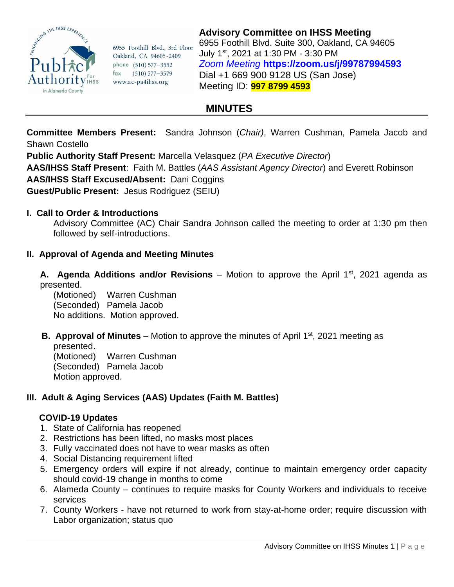

6955 Foothill Blvd., 3rd Floor Oakland, CA 94605-2409 phone (510) 577-3552 fax (510) 577-3579 www.ac-pa4ihss.org

**Advisory Committee on IHSS Meeting** 6955 Foothill Blvd. Suite 300, Oakland, CA 94605 July 1st, 2021 at 1:30 PM - 3:30 PM *Zoom Meeting* **<https://zoom.us/j/99787994593>** Dial +1 669 900 9128 US (San Jose) Meeting ID: **997 8799 4593**

# **MINUTES**

**Committee Members Present:** Sandra Johnson (*Chair)*, Warren Cushman, Pamela Jacob and Shawn Costello

**Public Authority Staff Present:** Marcella Velasquez (*PA Executive Director*)

**AAS/IHSS Staff Present**: Faith M. Battles (*AAS Assistant Agency Director*) and Everett Robinson **AAS/IHSS Staff Excused/Absent:** Dani Coggins

**Guest/Public Present:** Jesus Rodriguez (SEIU)

#### **I. Call to Order & Introductions**

Advisory Committee (AC) Chair Sandra Johnson called the meeting to order at 1:30 pm then followed by self-introductions.

# **II. Approval of Agenda and Meeting Minutes**

**A. Agenda Additions and/or Revisions** – Motion to approve the April 1st, 2021 agenda as presented.

(Motioned) Warren Cushman (Seconded) Pamela Jacob No additions. Motion approved.

**B. Approval of Minutes** – Motion to approve the minutes of April 1<sup>st</sup>, 2021 meeting as presented.

(Motioned) Warren Cushman (Seconded) Pamela Jacob Motion approved.

# **III. Adult & Aging Services (AAS) Updates (Faith M. Battles)**

#### **COVID-19 Updates**

- 1. State of California has reopened
- 2. Restrictions has been lifted, no masks most places
- 3. Fully vaccinated does not have to wear masks as often
- 4. Social Distancing requirement lifted
- 5. Emergency orders will expire if not already, continue to maintain emergency order capacity should covid-19 change in months to come
- 6. Alameda County continues to require masks for County Workers and individuals to receive services
- 7. County Workers have not returned to work from stay-at-home order; require discussion with Labor organization; status quo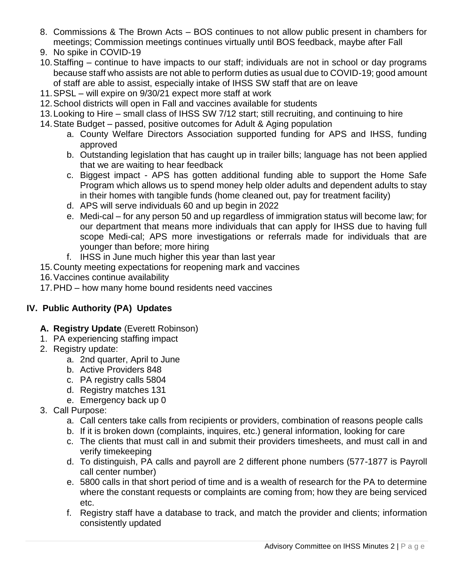- 8. Commissions & The Brown Acts BOS continues to not allow public present in chambers for meetings; Commission meetings continues virtually until BOS feedback, maybe after Fall
- 9. No spike in COVID-19
- 10.Staffing continue to have impacts to our staff; individuals are not in school or day programs because staff who assists are not able to perform duties as usual due to COVID-19; good amount of staff are able to assist, especially intake of IHSS SW staff that are on leave
- 11.SPSL will expire on 9/30/21 expect more staff at work
- 12.School districts will open in Fall and vaccines available for students
- 13.Looking to Hire small class of IHSS SW 7/12 start; still recruiting, and continuing to hire
- 14.State Budget passed, positive outcomes for Adult & Aging population
	- a. County Welfare Directors Association supported funding for APS and IHSS, funding approved
	- b. Outstanding legislation that has caught up in trailer bills; language has not been applied that we are waiting to hear feedback
	- c. Biggest impact APS has gotten additional funding able to support the Home Safe Program which allows us to spend money help older adults and dependent adults to stay in their homes with tangible funds (home cleaned out, pay for treatment facility)
	- d. APS will serve individuals 60 and up begin in 2022
	- e. Medi-cal for any person 50 and up regardless of immigration status will become law; for our department that means more individuals that can apply for IHSS due to having full scope Medi-cal; APS more investigations or referrals made for individuals that are younger than before; more hiring
	- f. IHSS in June much higher this year than last year
- 15.County meeting expectations for reopening mark and vaccines
- 16.Vaccines continue availability
- 17.PHD how many home bound residents need vaccines

# **IV. Public Authority (PA) Updates**

# **A. Registry Update** (Everett Robinson)

- 1. PA experiencing staffing impact
- 2. Registry update:
	- a. 2nd quarter, April to June
	- b. Active Providers 848
	- c. PA registry calls 5804
	- d. Registry matches 131
	- e. Emergency back up 0
- 3. Call Purpose:
	- a. Call centers take calls from recipients or providers, combination of reasons people calls
	- b. If it is broken down (complaints, inquires, etc.) general information, looking for care
	- c. The clients that must call in and submit their providers timesheets, and must call in and verify timekeeping
	- d. To distinguish, PA calls and payroll are 2 different phone numbers (577-1877 is Payroll call center number)
	- e. 5800 calls in that short period of time and is a wealth of research for the PA to determine where the constant requests or complaints are coming from; how they are being serviced etc.
	- f. Registry staff have a database to track, and match the provider and clients; information consistently updated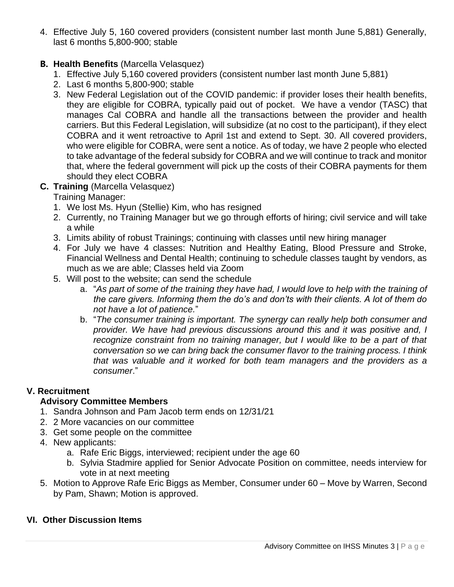4. Effective July 5, 160 covered providers (consistent number last month June 5,881) Generally, last 6 months 5,800-900; stable

#### **B. Health Benefits** (Marcella Velasquez)

- 1. Effective July 5,160 covered providers (consistent number last month June 5,881)
- 2. Last 6 months 5,800-900; stable
- 3. New Federal Legislation out of the COVID pandemic: if provider loses their health benefits, they are eligible for COBRA, typically paid out of pocket. We have a vendor (TASC) that manages Cal COBRA and handle all the transactions between the provider and health carriers. But this Federal Legislation, will subsidize (at no cost to the participant), if they elect COBRA and it went retroactive to April 1st and extend to Sept. 30. All covered providers, who were eligible for COBRA, were sent a notice. As of today, we have 2 people who elected to take advantage of the federal subsidy for COBRA and we will continue to track and monitor that, where the federal government will pick up the costs of their COBRA payments for them should they elect COBRA

#### **C. Training** (Marcella Velasquez)

Training Manager:

- 1. We lost Ms. Hyun (Stellie) Kim, who has resigned
- 2. Currently, no Training Manager but we go through efforts of hiring; civil service and will take a while
- 3. Limits ability of robust Trainings; continuing with classes until new hiring manager
- 4. For July we have 4 classes: Nutrition and Healthy Eating, Blood Pressure and Stroke, Financial Wellness and Dental Health; continuing to schedule classes taught by vendors, as much as we are able; Classes held via Zoom
- 5. Will post to the website; can send the schedule
	- a. "*As part of some of the training they have had, I would love to help with the training of the care givers. Informing them the do's and don'ts with their clients. A lot of them do not have a lot of patience.*"
	- b. "*The consumer training is important. The synergy can really help both consumer and provider. We have had previous discussions around this and it was positive and, I recognize constraint from no training manager, but I would like to be a part of that conversation so we can bring back the consumer flavor to the training process. I think that was valuable and it worked for both team managers and the providers as a consumer*."

# **V. Recruitment**

# **Advisory Committee Members**

- 1. Sandra Johnson and Pam Jacob term ends on 12/31/21
- 2. 2 More vacancies on our committee
- 3. Get some people on the committee
- 4. New applicants:
	- a. Rafe Eric Biggs, interviewed; recipient under the age 60
	- b. Sylvia Stadmire applied for Senior Advocate Position on committee, needs interview for vote in at next meeting
- 5. Motion to Approve Rafe Eric Biggs as Member, Consumer under 60 Move by Warren, Second by Pam, Shawn; Motion is approved.

#### **VI. Other Discussion Items**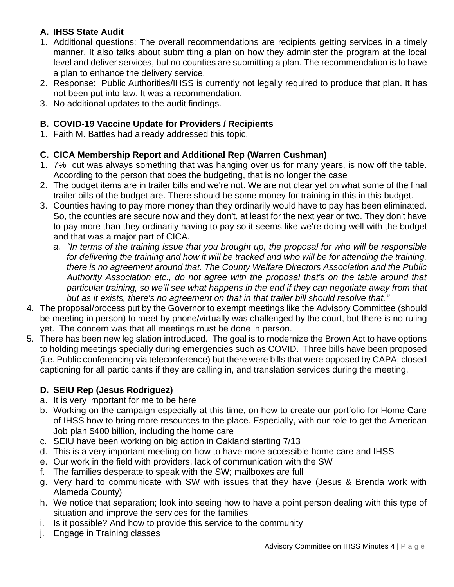# **A. IHSS State Audit**

- 1. Additional questions: The overall recommendations are recipients getting services in a timely manner. It also talks about submitting a plan on how they administer the program at the local level and deliver services, but no counties are submitting a plan. The recommendation is to have a plan to enhance the delivery service.
- 2. Response: Public Authorities/IHSS is currently not legally required to produce that plan. It has not been put into law. It was a recommendation.
- 3. No additional updates to the audit findings.

#### **B. COVID-19 Vaccine Update for Providers / Recipients**

1. Faith M. Battles had already addressed this topic.

#### **C. CICA Membership Report and Additional Rep (Warren Cushman)**

- 1. 7% cut was always something that was hanging over us for many years, is now off the table. According to the person that does the budgeting, that is no longer the case
- 2. The budget items are in trailer bills and we're not. We are not clear yet on what some of the final trailer bills of the budget are. There should be some money for training in this in this budget.
- 3. Counties having to pay more money than they ordinarily would have to pay has been eliminated. So, the counties are secure now and they don't, at least for the next year or two. They don't have to pay more than they ordinarily having to pay so it seems like we're doing well with the budget and that was a major part of CICA.
	- *a. "In terms of the training issue that you brought up, the proposal for who will be responsible for delivering the training and how it will be tracked and who will be for attending the training, there is no agreement around that. The County Welfare Directors Association and the Public Authority Association etc., do not agree with the proposal that's on the table around that particular training, so we'll see what happens in the end if they can negotiate away from that but as it exists, there's no agreement on that in that trailer bill should resolve that."*
- 4. The proposal/process put by the Governor to exempt meetings like the Advisory Committee (should be meeting in person) to meet by phone/virtually was challenged by the court, but there is no ruling yet. The concern was that all meetings must be done in person.
- 5. There has been new legislation introduced. The goal is to modernize the Brown Act to have options to holding meetings specially during emergencies such as COVID. Three bills have been proposed (i.e. Public conferencing via teleconference) but there were bills that were opposed by CAPA; closed captioning for all participants if they are calling in, and translation services during the meeting.

# **D. SEIU Rep (Jesus Rodriguez)**

- a. It is very important for me to be here
- b. Working on the campaign especially at this time, on how to create our portfolio for Home Care of IHSS how to bring more resources to the place. Especially, with our role to get the American Job plan \$400 billion, including the home care
- c. SEIU have been working on big action in Oakland starting 7/13
- d. This is a very important meeting on how to have more accessible home care and IHSS
- e. Our work in the field with providers, lack of communication with the SW
- f. The families desperate to speak with the SW; mailboxes are full
- g. Very hard to communicate with SW with issues that they have (Jesus & Brenda work with Alameda County)
- h. We notice that separation; look into seeing how to have a point person dealing with this type of situation and improve the services for the families
- i. Is it possible? And how to provide this service to the community
- j. Engage in Training classes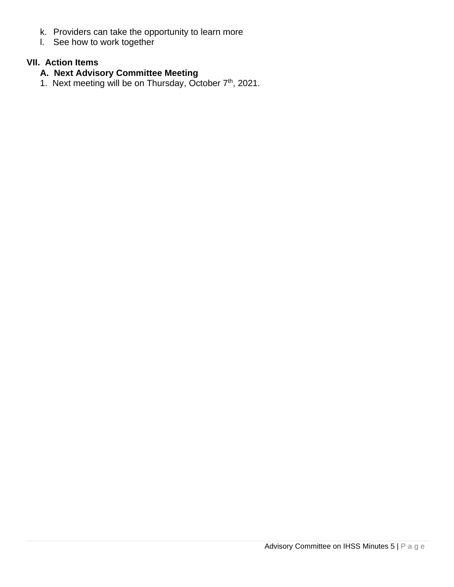- k. Providers can take the opportunity to learn more
- l. See how to work together

# **VII. Action Items**

- **A. Next Advisory Committee Meeting**
- 1. Next meeting will be on Thursday, October 7<sup>th</sup>, 2021.